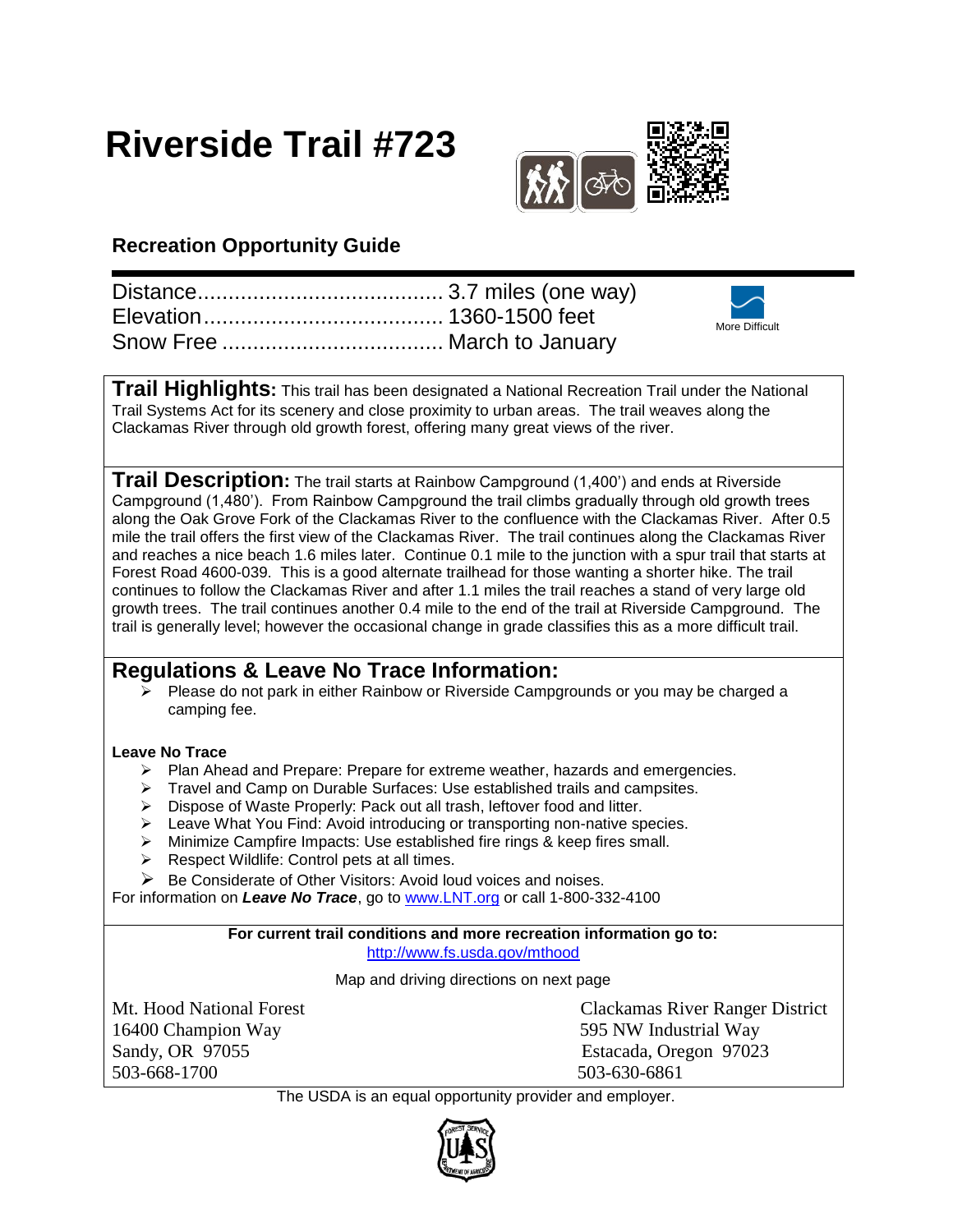# **Riverside Trail #723**



## **Recreation Opportunity Guide**

|  | More Difficult |
|--|----------------|
|  |                |

**Trail Highlights:** This trail has been designated a National Recreation Trail under the National Trail Systems Act for its scenery and close proximity to urban areas. The trail weaves along the Clackamas River through old growth forest, offering many great views of the river.

**Trail Description:** The trail starts at Rainbow Campground (1,400') and ends at Riverside Campground (1,480'). From Rainbow Campground the trail climbs gradually through old growth trees along the Oak Grove Fork of the Clackamas River to the confluence with the Clackamas River. After 0.5 mile the trail offers the first view of the Clackamas River. The trail continues along the Clackamas River and reaches a nice beach 1.6 miles later. Continue 0.1 mile to the junction with a spur trail that starts at Forest Road 4600-039. This is a good alternate trailhead for those wanting a shorter hike. The trail continues to follow the Clackamas River and after 1.1 miles the trail reaches a stand of very large old growth trees. The trail continues another 0.4 mile to the end of the trail at Riverside Campground. The trail is generally level; however the occasional change in grade classifies this as a more difficult trail.

### **Regulations & Leave No Trace Information:**

 $\triangleright$  Please do not park in either Rainbow or Riverside Campgrounds or you may be charged a camping fee.

#### **Leave No Trace**

- $\triangleright$  Plan Ahead and Prepare: Prepare for extreme weather, hazards and emergencies.
- **Figure 2** Travel and Camp on Durable Surfaces: Use established trails and campsites.
- > Dispose of Waste Properly: Pack out all trash, leftover food and litter.
- Eeave What You Find: Avoid introducing or transporting non-native species.
- Minimize Campfire Impacts: Use established fire rings & keep fires small.
- $\triangleright$  Respect Wildlife: Control pets at all times.
- $\triangleright$  Be Considerate of Other Visitors: Avoid loud voices and noises.

For information on *Leave No Trace*, go to [www.LNT.org](http://www.lnt.org/) or call 1-800-332-4100

#### **For current trail conditions and more recreation information go to:** <http://www.fs.usda.gov/mthood>

Map and driving directions on next page

16400 Champion Way 595 NW Industrial Way Sandy, OR 97055 Estacada, Oregon 97023 503-668-1700 503-630-6861

Mt. Hood National Forest Clackamas River Ranger District

The USDA is an equal opportunity provider and employer.